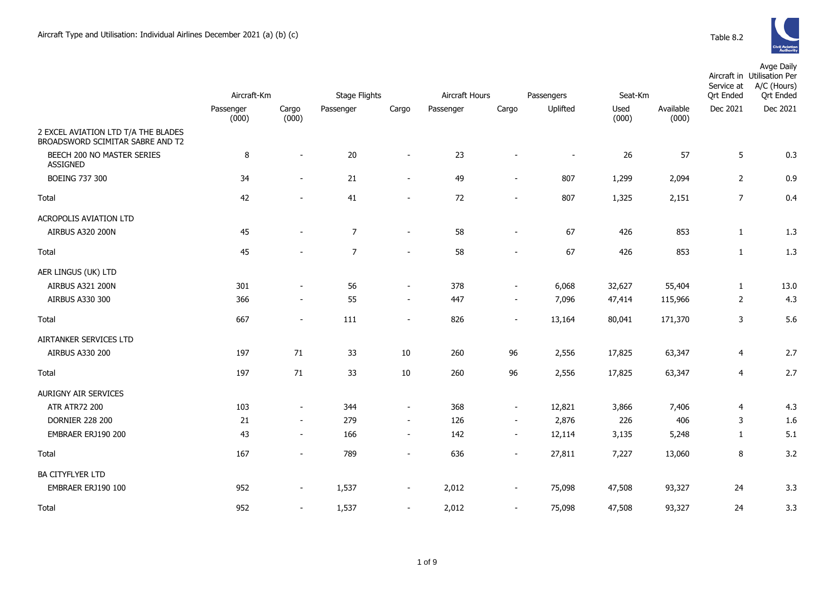

|                                                                         | Aircraft-Km |                          | <b>Stage Flights</b> |                          | Aircraft Hours |                          | Passengers     | Seat-Km |           |                | Avge Daily<br>Aircraft in Utilisation Per<br>A/C (Hours)<br>Service at<br><b>Qrt Ended</b><br><b>Qrt Ended</b> |  |  |
|-------------------------------------------------------------------------|-------------|--------------------------|----------------------|--------------------------|----------------|--------------------------|----------------|---------|-----------|----------------|----------------------------------------------------------------------------------------------------------------|--|--|
|                                                                         | Passenger   | Cargo                    | Passenger            | Cargo                    | Passenger      | Cargo                    | Uplifted       | Used    | Available | Dec 2021       | Dec 2021                                                                                                       |  |  |
| 2 EXCEL AVIATION LTD T/A THE BLADES<br>BROADSWORD SCIMITAR SABRE AND T2 | (000)       | (000)                    |                      |                          |                |                          |                | (000)   | (000)     |                |                                                                                                                |  |  |
| BEECH 200 NO MASTER SERIES<br><b>ASSIGNED</b>                           | 8           | $\blacksquare$           | 20                   | $\sim$                   | 23             | $\overline{\phantom{a}}$ | $\blacksquare$ | 26      | 57        | 5              | 0.3                                                                                                            |  |  |
| <b>BOEING 737 300</b>                                                   | 34          | $\blacksquare$           | 21                   | $\overline{\phantom{a}}$ | 49             | $\blacksquare$           | 807            | 1,299   | 2,094     | $\overline{2}$ | 0.9                                                                                                            |  |  |
| Total                                                                   | 42          | $\overline{\phantom{a}}$ | 41                   | $\sim$                   | 72             | $\blacksquare$           | 807            | 1,325   | 2,151     | $\overline{7}$ | 0.4                                                                                                            |  |  |
| ACROPOLIS AVIATION LTD                                                  |             |                          |                      |                          |                |                          |                |         |           |                |                                                                                                                |  |  |
| AIRBUS A320 200N                                                        | 45          |                          | $\overline{7}$       | $\sim$                   | 58             | $\overline{\phantom{a}}$ | 67             | 426     | 853       | $\mathbf{1}$   | 1.3                                                                                                            |  |  |
| Total                                                                   | 45          |                          | $\overline{7}$       | $\sim$                   | 58             | $\overline{a}$           | 67             | 426     | 853       | $\mathbf{1}$   | 1.3                                                                                                            |  |  |
| AER LINGUS (UK) LTD                                                     |             |                          |                      |                          |                |                          |                |         |           |                |                                                                                                                |  |  |
| AIRBUS A321 200N                                                        | 301         |                          | 56                   | $\blacksquare$           | 378            | $\overline{\phantom{a}}$ | 6,068          | 32,627  | 55,404    | $\mathbf{1}$   | 13.0                                                                                                           |  |  |
| AIRBUS A330 300                                                         | 366         | $\overline{\phantom{a}}$ | 55                   | $\sim$                   | 447            | $\overline{\phantom{a}}$ | 7,096          | 47,414  | 115,966   | $\overline{2}$ | 4.3                                                                                                            |  |  |
| Total                                                                   | 667         | $\overline{\phantom{a}}$ | 111                  | $\sim$                   | 826            | $\overline{\phantom{a}}$ | 13,164         | 80,041  | 171,370   | 3              | 5.6                                                                                                            |  |  |
| AIRTANKER SERVICES LTD                                                  |             |                          |                      |                          |                |                          |                |         |           |                |                                                                                                                |  |  |
| AIRBUS A330 200                                                         | 197         | 71                       | 33                   | $10\,$                   | 260            | 96                       | 2,556          | 17,825  | 63,347    | 4              | 2.7                                                                                                            |  |  |
| <b>Total</b>                                                            | 197         | 71                       | 33                   | $10\,$                   | 260            | 96                       | 2,556          | 17,825  | 63,347    | 4              | 2.7                                                                                                            |  |  |
| AURIGNY AIR SERVICES                                                    |             |                          |                      |                          |                |                          |                |         |           |                |                                                                                                                |  |  |
| <b>ATR ATR72 200</b>                                                    | 103         | $\blacksquare$           | 344                  | $\sim$                   | 368            | $\overline{\phantom{a}}$ | 12,821         | 3,866   | 7,406     | 4              | 4.3                                                                                                            |  |  |
| <b>DORNIER 228 200</b>                                                  | 21          | $\overline{\phantom{a}}$ | 279                  | $\sim$                   | 126            | $\overline{\phantom{a}}$ | 2,876          | 226     | 406       | 3              | 1.6                                                                                                            |  |  |
| EMBRAER ERJ190 200                                                      | 43          | $\overline{\phantom{a}}$ | 166                  | $\sim$                   | 142            | $\sim$                   | 12,114         | 3,135   | 5,248     | $\mathbf{1}$   | 5.1                                                                                                            |  |  |
| Total                                                                   | 167         |                          | 789                  |                          | 636            | $\blacksquare$           | 27,811         | 7,227   | 13,060    | 8              | 3.2                                                                                                            |  |  |
| <b>BA CITYFLYER LTD</b>                                                 |             |                          |                      |                          |                |                          |                |         |           |                |                                                                                                                |  |  |
| EMBRAER ERJ190 100                                                      | 952         | $\overline{\phantom{a}}$ | 1,537                | $\sim$                   | 2,012          | $\overline{\phantom{a}}$ | 75,098         | 47,508  | 93,327    | 24             | 3.3                                                                                                            |  |  |
| <b>Total</b>                                                            | 952         | $\sim$                   | 1,537                | $\sim$                   | 2,012          | $\sim$                   | 75,098         | 47,508  | 93,327    | 24             | 3.3                                                                                                            |  |  |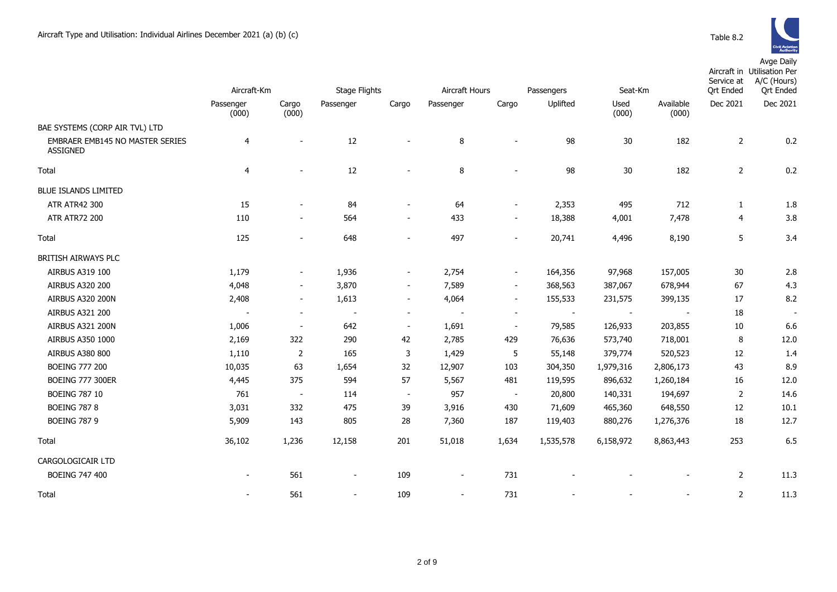

Avge Daily

|                                                    | Aircraft-Km        |                          | <b>Stage Flights</b>     |                          | Aircraft Hours           |                          | Passengers |                | Seat-Km                  |                       | Aircraft in Utilisation Per<br>A/C (Hours)<br><b>Qrt Ended</b> |
|----------------------------------------------------|--------------------|--------------------------|--------------------------|--------------------------|--------------------------|--------------------------|------------|----------------|--------------------------|-----------------------|----------------------------------------------------------------|
|                                                    | Passenger<br>(000) | Cargo<br>(000)           | Passenger                | Cargo                    | Passenger                | Cargo                    | Uplifted   | Used<br>(000)  | Available<br>(000)       | Ort Ended<br>Dec 2021 | Dec 2021                                                       |
| BAE SYSTEMS (CORP AIR TVL) LTD                     |                    |                          |                          |                          |                          |                          |            |                |                          |                       |                                                                |
| EMBRAER EMB145 NO MASTER SERIES<br><b>ASSIGNED</b> | $\overline{4}$     |                          | $12\,$                   |                          | 8                        | $\sim$                   | 98         | $30\,$         | 182                      | $\overline{2}$        | 0.2                                                            |
| Total                                              | $\overline{4}$     |                          | 12                       |                          | 8                        |                          | 98         | 30             | 182                      | $\overline{2}$        | 0.2                                                            |
| <b>BLUE ISLANDS LIMITED</b>                        |                    |                          |                          |                          |                          |                          |            |                |                          |                       |                                                                |
| <b>ATR ATR42 300</b>                               | 15                 |                          | 84                       | $\overline{\phantom{a}}$ | 64                       | $\overline{\phantom{a}}$ | 2,353      | 495            | 712                      | $\mathbf{1}$          | 1.8                                                            |
| <b>ATR ATR72 200</b>                               | 110                | $\overline{\phantom{a}}$ | 564                      | $\overline{\phantom{a}}$ | 433                      | $\overline{\phantom{a}}$ | 18,388     | 4,001          | 7,478                    | 4                     | 3.8                                                            |
| Total                                              | 125                | $\overline{\phantom{a}}$ | 648                      | $\overline{\phantom{a}}$ | 497                      | $\overline{\phantom{a}}$ | 20,741     | 4,496          | 8,190                    | 5                     | 3.4                                                            |
| BRITISH AIRWAYS PLC                                |                    |                          |                          |                          |                          |                          |            |                |                          |                       |                                                                |
| AIRBUS A319 100                                    | 1,179              | $\overline{\phantom{a}}$ | 1,936                    | $\overline{\phantom{a}}$ | 2,754                    | $\overline{\phantom{a}}$ | 164,356    | 97,968         | 157,005                  | 30                    | 2.8                                                            |
| AIRBUS A320 200                                    | 4,048              | $\sim$                   | 3,870                    | $\overline{\phantom{a}}$ | 7,589                    | $\sim$                   | 368,563    | 387,067        | 678,944                  | 67                    | 4.3                                                            |
| AIRBUS A320 200N                                   | 2,408              | $\overline{\phantom{a}}$ | 1,613                    | $\overline{\phantom{a}}$ | 4,064                    | $\overline{\phantom{a}}$ | 155,533    | 231,575        | 399,135                  | 17                    | 8.2                                                            |
| AIRBUS A321 200                                    |                    | $\overline{\phantom{a}}$ | $\overline{\phantom{a}}$ | $\overline{\phantom{a}}$ | $\sim$                   | $\overline{\phantom{a}}$ | $\sim$     | $\blacksquare$ | $\overline{\phantom{a}}$ | 18                    |                                                                |
| AIRBUS A321 200N                                   | 1,006              | $\overline{\phantom{a}}$ | 642                      | $\overline{\phantom{a}}$ | 1,691                    | $\overline{\phantom{a}}$ | 79,585     | 126,933        | 203,855                  | 10                    | 6.6                                                            |
| AIRBUS A350 1000                                   | 2,169              | 322                      | 290                      | 42                       | 2,785                    | 429                      | 76,636     | 573,740        | 718,001                  | 8                     | 12.0                                                           |
| <b>AIRBUS A380 800</b>                             | 1,110              | $\overline{2}$           | 165                      | 3                        | 1,429                    | 5                        | 55,148     | 379,774        | 520,523                  | 12                    | 1.4                                                            |
| <b>BOEING 777 200</b>                              | 10,035             | 63                       | 1,654                    | 32                       | 12,907                   | 103                      | 304,350    | 1,979,316      | 2,806,173                | 43                    | 8.9                                                            |
| <b>BOEING 777 300ER</b>                            | 4,445              | 375                      | 594                      | 57                       | 5,567                    | 481                      | 119,595    | 896,632        | 1,260,184                | 16                    | 12.0                                                           |
| <b>BOEING 787 10</b>                               | 761                | $\blacksquare$           | 114                      | $\blacksquare$           | 957                      | $\sim$                   | 20,800     | 140,331        | 194,697                  | 2                     | 14.6                                                           |
| <b>BOEING 787 8</b>                                | 3,031              | 332                      | 475                      | 39                       | 3,916                    | 430                      | 71,609     | 465,360        | 648,550                  | 12                    | 10.1                                                           |
| <b>BOEING 787 9</b>                                | 5,909              | 143                      | 805                      | 28                       | 7,360                    | 187                      | 119,403    | 880,276        | 1,276,376                | 18                    | 12.7                                                           |
| Total                                              | 36,102             | 1,236                    | 12,158                   | 201                      | 51,018                   | 1,634                    | 1,535,578  | 6,158,972      | 8,863,443                | 253                   | 6.5                                                            |
| CARGOLOGICAIR LTD                                  |                    |                          |                          |                          |                          |                          |            |                |                          |                       |                                                                |
| <b>BOEING 747 400</b>                              |                    | 561                      | $\overline{\phantom{a}}$ | 109                      | $\overline{\phantom{a}}$ | 731                      |            |                |                          | 2                     | 11.3                                                           |
| Total                                              |                    | 561                      | $\sim$                   | 109                      | $\overline{\phantom{a}}$ | 731                      |            |                |                          | $\overline{2}$        | 11.3                                                           |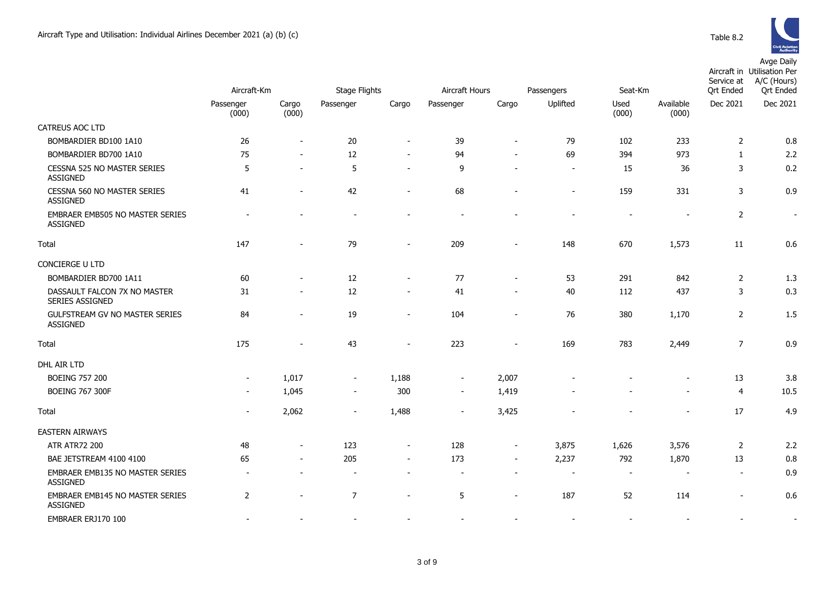

|                                                        | Aircraft-Km              |                          | <b>Stage Flights</b> |                          |                          | Aircraft Hours<br>Passengers |                          |               | Seat-Km                      | Service at<br><b>Qrt Ended</b> | Aircraft in Utilisation Per<br>A/C (Hours)<br><b>Ort Ended</b> |
|--------------------------------------------------------|--------------------------|--------------------------|----------------------|--------------------------|--------------------------|------------------------------|--------------------------|---------------|------------------------------|--------------------------------|----------------------------------------------------------------|
|                                                        | Passenger<br>(000)       | Cargo<br>(000)           | Passenger            | Cargo                    | Passenger                | Cargo                        | Uplifted                 | Used<br>(000) | Available<br>(000)           | Dec 2021                       | Dec 2021                                                       |
| CATREUS AOC LTD                                        |                          |                          |                      |                          |                          |                              |                          |               |                              |                                |                                                                |
| BOMBARDIER BD100 1A10                                  | 26                       |                          | 20                   | $\overline{\phantom{a}}$ | 39                       | $\overline{\phantom{a}}$     | 79                       | 102           | 233                          | $\overline{2}$                 | 0.8                                                            |
| BOMBARDIER BD700 1A10                                  | 75                       |                          | 12                   | $\overline{a}$           | 94                       | $\sim$                       | 69                       | 394           | 973                          | 1                              | 2.2                                                            |
| <b>CESSNA 525 NO MASTER SERIES</b><br><b>ASSIGNED</b>  | 5                        |                          | 5                    | $\sim$                   | 9                        |                              | $\overline{\phantom{a}}$ | 15            | 36                           | 3                              | 0.2                                                            |
| CESSNA 560 NO MASTER SERIES<br><b>ASSIGNED</b>         | 41                       |                          | 42                   |                          | 68                       |                              | $\overline{a}$           | 159           | 331                          | 3                              | 0.9                                                            |
| EMBRAER EMB505 NO MASTER SERIES<br><b>ASSIGNED</b>     |                          |                          |                      |                          |                          |                              |                          |               |                              | $\overline{2}$                 | $\blacksquare$                                                 |
| Total                                                  | 147                      |                          | 79                   | $\blacksquare$           | 209                      | $\blacksquare$               | 148                      | 670           | 1,573                        | 11                             | 0.6                                                            |
| CONCIERGE U LTD                                        |                          |                          |                      |                          |                          |                              |                          |               |                              |                                |                                                                |
| BOMBARDIER BD700 1A11                                  | 60                       |                          | 12                   | $\overline{\phantom{a}}$ | 77                       | $\blacksquare$               | 53                       | 291           | 842                          | $\overline{2}$                 | 1.3                                                            |
| DASSAULT FALCON 7X NO MASTER<br><b>SERIES ASSIGNED</b> | 31                       | $\overline{\phantom{a}}$ | 12                   | $\overline{a}$           | 41                       | $\overline{\phantom{a}}$     | 40                       | 112           | 437                          | 3                              | 0.3                                                            |
| GULFSTREAM GV NO MASTER SERIES<br>ASSIGNED             | 84                       |                          | 19                   | $\blacksquare$           | 104                      | $\blacksquare$               | 76                       | 380           | 1,170                        | $\overline{2}$                 | 1.5                                                            |
| Total                                                  | 175                      |                          | 43                   |                          | 223                      |                              | 169                      | 783           | 2,449                        | $\overline{7}$                 | 0.9                                                            |
| DHL AIR LTD                                            |                          |                          |                      |                          |                          |                              |                          |               |                              |                                |                                                                |
| <b>BOEING 757 200</b>                                  | $\overline{\phantom{a}}$ | 1,017                    | $\sim$               | 1,188                    | $\blacksquare$           | 2,007                        |                          |               | $\qquad \qquad \blacksquare$ | 13                             | 3.8                                                            |
| <b>BOEING 767 300F</b>                                 |                          | 1,045                    | $\sim$               | 300                      | $\overline{\phantom{a}}$ | 1,419                        |                          |               | $\blacksquare$               | $\overline{4}$                 | 10.5                                                           |
| Total                                                  |                          | 2,062                    | $\sim$               | 1,488                    | $\sim$                   | 3,425                        |                          |               |                              | 17                             | 4.9                                                            |
| <b>EASTERN AIRWAYS</b>                                 |                          |                          |                      |                          |                          |                              |                          |               |                              |                                |                                                                |
| <b>ATR ATR72 200</b>                                   | 48                       | $\overline{\phantom{a}}$ | 123                  | $\overline{\phantom{a}}$ | 128                      | $\overline{\phantom{a}}$     | 3,875                    | 1,626         | 3,576                        | $\overline{2}$                 | 2.2                                                            |
| BAE JETSTREAM 4100 4100                                | 65                       | $\overline{\phantom{a}}$ | 205                  | $\overline{a}$           | 173                      | $\blacksquare$               | 2,237                    | 792           | 1,870                        | 13                             | 0.8                                                            |
| EMBRAER EMB135 NO MASTER SERIES<br><b>ASSIGNED</b>     |                          |                          |                      |                          |                          |                              | $\overline{\phantom{a}}$ | $\sim$        | $\overline{\phantom{0}}$     | $\blacksquare$                 | 0.9                                                            |
| EMBRAER EMB145 NO MASTER SERIES<br><b>ASSIGNED</b>     | 2                        |                          | 7                    | $\sim$                   | 5                        | $\overline{\phantom{a}}$     | 187                      | 52            | 114                          | ۰                              | 0.6                                                            |
| EMBRAER ERJ170 100                                     |                          |                          |                      |                          |                          |                              |                          |               |                              |                                |                                                                |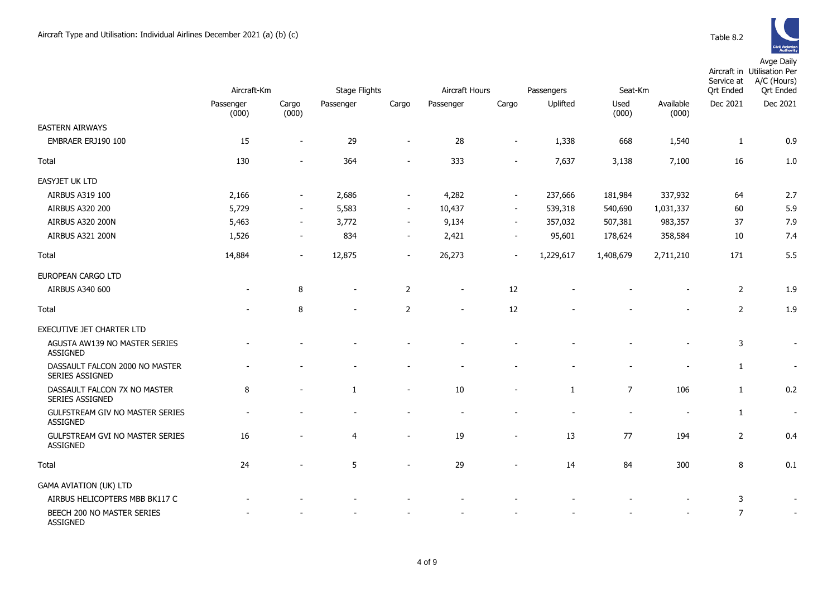

|                                                    | Aircraft-Km        |                          | <b>Stage Flights</b> |                          | Aircraft Hours<br>Passengers |                          |              | Seat-Km        |                    | Service at<br><b>Qrt Ended</b> | Aircraft in Utilisation Per<br>A/C (Hours)<br><b>Qrt Ended</b> |
|----------------------------------------------------|--------------------|--------------------------|----------------------|--------------------------|------------------------------|--------------------------|--------------|----------------|--------------------|--------------------------------|----------------------------------------------------------------|
|                                                    | Passenger<br>(000) | Cargo<br>(000)           | Passenger            | Cargo                    | Passenger                    | Cargo                    | Uplifted     | Used<br>(000)  | Available<br>(000) | Dec 2021                       | Dec 2021                                                       |
| <b>EASTERN AIRWAYS</b>                             |                    |                          |                      |                          |                              |                          |              |                |                    |                                |                                                                |
| EMBRAER ERJ190 100                                 | 15                 | $\blacksquare$           | 29                   | $\overline{\phantom{a}}$ | 28                           |                          | 1,338        | 668            | 1,540              | $\mathbf{1}$                   | 0.9                                                            |
| Total                                              | 130                | $\overline{\phantom{a}}$ | 364                  | $\overline{\phantom{a}}$ | 333                          |                          | 7,637        | 3,138          | 7,100              | 16                             | 1.0                                                            |
| EASYJET UK LTD                                     |                    |                          |                      |                          |                              |                          |              |                |                    |                                |                                                                |
| AIRBUS A319 100                                    | 2,166              | $\overline{\phantom{a}}$ | 2,686                | $\overline{\phantom{a}}$ | 4,282                        | $\overline{\phantom{a}}$ | 237,666      | 181,984        | 337,932            | 64                             | 2.7                                                            |
| <b>AIRBUS A320 200</b>                             | 5,729              | $\overline{\phantom{a}}$ | 5,583                | $\blacksquare$           | 10,437                       | $\overline{\phantom{a}}$ | 539,318      | 540,690        | 1,031,337          | 60                             | 5.9                                                            |
| AIRBUS A320 200N                                   | 5,463              | $\overline{\phantom{a}}$ | 3,772                | $\overline{\phantom{a}}$ | 9,134                        | $\sim$                   | 357,032      | 507,381        | 983,357            | 37                             | 7.9                                                            |
| AIRBUS A321 200N                                   | 1,526              | $\overline{\phantom{a}}$ | 834                  | $\sim$                   | 2,421                        | $\blacksquare$           | 95,601       | 178,624        | 358,584            | 10                             | 7.4                                                            |
| Total                                              | 14,884             | $\sim$                   | 12,875               | $\sim$                   | 26,273                       | $\sim$                   | 1,229,617    | 1,408,679      | 2,711,210          | 171                            | 5.5                                                            |
| EUROPEAN CARGO LTD                                 |                    |                          |                      |                          |                              |                          |              |                |                    |                                |                                                                |
| AIRBUS A340 600                                    |                    | 8                        |                      | $\overline{2}$           |                              | 12                       |              |                |                    | $\overline{2}$                 | 1.9                                                            |
| Total                                              |                    | 8                        |                      | $\overline{2}$           |                              | 12                       |              |                |                    | $\overline{2}$                 | 1.9                                                            |
| EXECUTIVE JET CHARTER LTD                          |                    |                          |                      |                          |                              |                          |              |                |                    |                                |                                                                |
| AGUSTA AW139 NO MASTER SERIES<br><b>ASSIGNED</b>   |                    |                          |                      |                          |                              |                          |              |                |                    | 3                              |                                                                |
| DASSAULT FALCON 2000 NO MASTER<br>SERIES ASSIGNED  |                    |                          |                      |                          |                              |                          |              |                |                    | $\mathbf{1}$                   |                                                                |
| DASSAULT FALCON 7X NO MASTER<br>SERIES ASSIGNED    | 8                  | $\overline{\phantom{a}}$ | $\mathbf{1}$         | $\overline{\phantom{a}}$ | 10                           |                          | $\mathbf{1}$ | $\overline{7}$ | 106                | $\mathbf{1}$                   | 0.2                                                            |
| GULFSTREAM GIV NO MASTER SERIES<br>ASSIGNED        |                    |                          |                      |                          |                              |                          |              |                |                    | $\mathbf{1}$                   | $\overline{\phantom{a}}$                                       |
| GULFSTREAM GVI NO MASTER SERIES<br><b>ASSIGNED</b> | 16                 |                          | 4                    |                          | 19                           |                          | 13           | 77             | 194                | $\overline{2}$                 | 0.4                                                            |
| Total                                              | 24                 |                          | 5                    | $\blacksquare$           | 29                           |                          | 14           | 84             | 300                | 8                              | 0.1                                                            |
| <b>GAMA AVIATION (UK) LTD</b>                      |                    |                          |                      |                          |                              |                          |              |                |                    |                                |                                                                |
| AIRBUS HELICOPTERS MBB BK117 C                     |                    |                          |                      |                          |                              |                          |              |                |                    | 3                              |                                                                |
| BEECH 200 NO MASTER SERIES<br><b>ASSIGNED</b>      |                    |                          |                      |                          |                              |                          |              |                |                    | $\overline{7}$                 |                                                                |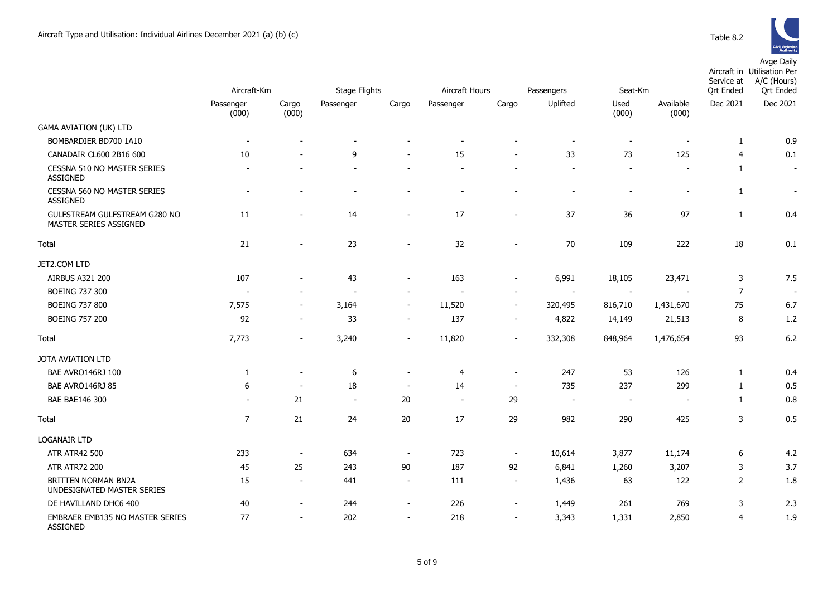

|                                                           | Aircraft-Km    |                          | <b>Stage Flights</b>     | Aircraft Hours           |                |                          | Seat-Km<br>Passengers |                          |                          | Service at<br><b>Qrt Ended</b> | Aircraft in Utilisation Per<br>A/C (Hours)<br><b>Qrt Ended</b> |
|-----------------------------------------------------------|----------------|--------------------------|--------------------------|--------------------------|----------------|--------------------------|-----------------------|--------------------------|--------------------------|--------------------------------|----------------------------------------------------------------|
|                                                           | Passenger      | Cargo                    | Passenger                | Cargo                    | Passenger      | Cargo                    | Uplifted              | Used                     | Available                | Dec 2021                       | Dec 2021                                                       |
|                                                           | (000)          | (000)                    |                          |                          |                |                          |                       | (000)                    | (000)                    |                                |                                                                |
| <b>GAMA AVIATION (UK) LTD</b>                             |                |                          |                          |                          |                |                          |                       |                          |                          |                                |                                                                |
| BOMBARDIER BD700 1A10                                     |                |                          |                          |                          |                |                          |                       | $\sim$                   |                          | 1                              | 0.9                                                            |
| CANADAIR CL600 2B16 600                                   | 10             |                          | 9                        |                          | 15             |                          | 33                    | 73                       | 125                      | $\overline{4}$                 | 0.1                                                            |
| CESSNA 510 NO MASTER SERIES<br><b>ASSIGNED</b>            |                |                          |                          |                          |                |                          |                       | $\overline{\phantom{a}}$ | $\overline{\phantom{a}}$ | $\mathbf{1}$                   | $\overline{\phantom{a}}$                                       |
| CESSNA 560 NO MASTER SERIES<br><b>ASSIGNED</b>            |                |                          |                          |                          |                |                          |                       |                          |                          | 1                              | $\blacksquare$                                                 |
| GULFSTREAM GULFSTREAM G280 NO<br>MASTER SERIES ASSIGNED   | 11             |                          | 14                       |                          | 17             | $\overline{\phantom{a}}$ | 37                    | 36                       | 97                       | $\mathbf{1}$                   | 0.4                                                            |
| Total                                                     | 21             | $\overline{\phantom{a}}$ | 23                       | $\blacksquare$           | 32             | $\blacksquare$           | 70                    | 109                      | 222                      | 18                             | 0.1                                                            |
| JET2.COM LTD                                              |                |                          |                          |                          |                |                          |                       |                          |                          |                                |                                                                |
| <b>AIRBUS A321 200</b>                                    | 107            |                          | 43                       |                          | 163            | $\overline{\phantom{a}}$ | 6,991                 | 18,105                   | 23,471                   | 3                              | 7.5                                                            |
| <b>BOEING 737 300</b>                                     |                |                          | $\overline{\phantom{a}}$ | $\overline{\phantom{a}}$ |                | $\sim$                   |                       | $\blacksquare$           |                          | $\overline{7}$                 | $\overline{\phantom{a}}$                                       |
| <b>BOEING 737 800</b>                                     | 7,575          | $\sim$                   | 3,164                    | $\blacksquare$           | 11,520         | $\sim$                   | 320,495               | 816,710                  | 1,431,670                | 75                             | 6.7                                                            |
| <b>BOEING 757 200</b>                                     | 92             | $\overline{\phantom{a}}$ | 33                       | $\blacksquare$           | 137            | $\overline{\phantom{a}}$ | 4,822                 | 14,149                   | 21,513                   | 8                              | 1.2                                                            |
| Total                                                     | 7,773          | $\overline{\phantom{a}}$ | 3,240                    | $\overline{\phantom{a}}$ | 11,820         | $\overline{\phantom{a}}$ | 332,308               | 848,964                  | 1,476,654                | 93                             | 6.2                                                            |
| JOTA AVIATION LTD                                         |                |                          |                          |                          |                |                          |                       |                          |                          |                                |                                                                |
| BAE AVRO146RJ 100                                         | 1              | $\sim$                   | 6                        | $\overline{\phantom{a}}$ | 4              | $\blacksquare$           | 247                   | 53                       | 126                      | $\mathbf{1}$                   | 0.4                                                            |
| BAE AVRO146RJ 85                                          | 6              | $\sim$                   | 18                       | $\overline{\phantom{a}}$ | 14             | $\sim$                   | 735                   | 237                      | 299                      | 1                              | 0.5                                                            |
| BAE BAE146 300                                            |                | 21                       | $\blacksquare$           | 20                       | $\blacksquare$ | 29                       | $\sim$                | $\sim$                   | $\overline{\phantom{a}}$ | $\mathbf{1}$                   | 0.8                                                            |
| Total                                                     | $\overline{7}$ | 21                       | 24                       | 20                       | 17             | 29                       | 982                   | 290                      | 425                      | 3                              | 0.5                                                            |
| <b>LOGANAIR LTD</b>                                       |                |                          |                          |                          |                |                          |                       |                          |                          |                                |                                                                |
| <b>ATR ATR42 500</b>                                      | 233            | $\sim$                   | 634                      | $\overline{\phantom{a}}$ | 723            | $\blacksquare$           | 10,614                | 3,877                    | 11,174                   | 6                              | 4.2                                                            |
| <b>ATR ATR72 200</b>                                      | 45             | 25                       | 243                      | 90                       | 187            | 92                       | 6,841                 | 1,260                    | 3,207                    | 3                              | 3.7                                                            |
| <b>BRITTEN NORMAN BN2A</b><br>UNDESIGNATED MASTER SERIES  | 15             | $\sim$                   | 441                      | $\sim$                   | 111            | $\sim$                   | 1,436                 | 63                       | 122                      | $\overline{2}$                 | 1.8                                                            |
| DE HAVILLAND DHC6 400                                     | 40             | $\overline{\phantom{a}}$ | 244                      | $\overline{\phantom{a}}$ | 226            | $\blacksquare$           | 1,449                 | 261                      | 769                      | 3                              | 2.3                                                            |
| <b>EMBRAER EMB135 NO MASTER SERIES</b><br><b>ASSIGNED</b> | 77             | $\sim$                   | 202                      | $\overline{\phantom{a}}$ | 218            | $\overline{\phantom{a}}$ | 3,343                 | 1,331                    | 2,850                    | $\overline{4}$                 | 1.9                                                            |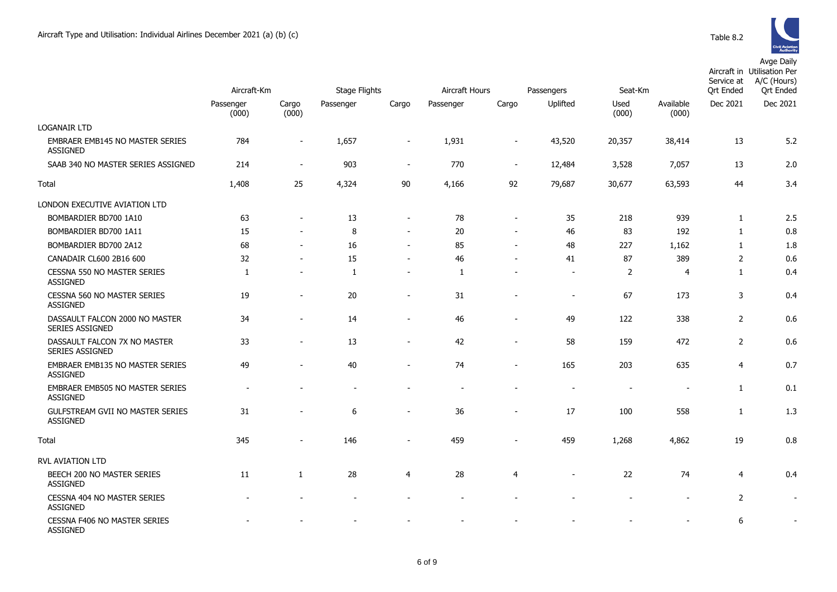

|                                                     | Aircraft-Km        |                          | <b>Stage Flights</b> |                          | Aircraft Hours |                          | Passengers               | Seat-Km        |                    | Service at<br><b>Qrt Ended</b> | Aircraft in Utilisation Per<br>A/C (Hours)<br><b>Qrt Ended</b> |
|-----------------------------------------------------|--------------------|--------------------------|----------------------|--------------------------|----------------|--------------------------|--------------------------|----------------|--------------------|--------------------------------|----------------------------------------------------------------|
|                                                     | Passenger<br>(000) | Cargo<br>(000)           | Passenger            | Cargo                    | Passenger      | Cargo                    | Uplifted                 | Used<br>(000)  | Available<br>(000) | Dec 2021                       | Dec 2021                                                       |
| <b>LOGANAIR LTD</b>                                 |                    |                          |                      |                          |                |                          |                          |                |                    |                                |                                                                |
| EMBRAER EMB145 NO MASTER SERIES<br><b>ASSIGNED</b>  | 784                | $\overline{\phantom{a}}$ | 1,657                | $\overline{\phantom{a}}$ | 1,931          | $\overline{\phantom{a}}$ | 43,520                   | 20,357         | 38,414             | 13                             | 5.2                                                            |
| SAAB 340 NO MASTER SERIES ASSIGNED                  | 214                | $\blacksquare$           | 903                  | $\blacksquare$           | 770            | $\sim$                   | 12,484                   | 3,528          | 7,057              | 13                             | 2.0                                                            |
| Total                                               | 1,408              | 25                       | 4,324                | $90\,$                   | 4,166          | 92                       | 79,687                   | 30,677         | 63,593             | 44                             | 3.4                                                            |
| LONDON EXECUTIVE AVIATION LTD                       |                    |                          |                      |                          |                |                          |                          |                |                    |                                |                                                                |
| BOMBARDIER BD700 1A10                               | 63                 |                          | 13                   | $\overline{\phantom{a}}$ | 78             | $\overline{\phantom{a}}$ | 35                       | 218            | 939                | 1                              | 2.5                                                            |
| BOMBARDIER BD700 1A11                               | 15                 |                          | 8                    | $\overline{\phantom{a}}$ | 20             | $\sim$                   | 46                       | 83             | 192                | $\mathbf{1}$                   | 0.8                                                            |
| BOMBARDIER BD700 2A12                               | 68                 |                          | 16                   | $\overline{\phantom{a}}$ | 85             |                          | 48                       | 227            | 1,162              | $\mathbf{1}$                   | 1.8                                                            |
| CANADAIR CL600 2B16 600                             | 32                 |                          | 15                   | $\blacksquare$           | 46             |                          | 41                       | 87             | 389                | $\overline{2}$                 | 0.6                                                            |
| CESSNA 550 NO MASTER SERIES<br><b>ASSIGNED</b>      | $\mathbf{1}$       |                          | 1                    | $\sim$                   | $\mathbf{1}$   |                          | ÷.                       | $\overline{2}$ | 4                  | $\mathbf{1}$                   | 0.4                                                            |
| CESSNA 560 NO MASTER SERIES<br><b>ASSIGNED</b>      | 19                 | $\overline{\phantom{0}}$ | 20                   | $\overline{\phantom{a}}$ | 31             |                          | $\overline{\phantom{a}}$ | 67             | 173                | 3                              | 0.4                                                            |
| DASSAULT FALCON 2000 NO MASTER<br>SERIES ASSIGNED   | 34                 | ۰                        | 14                   | $\blacksquare$           | 46             | $\overline{\phantom{a}}$ | 49                       | 122            | 338                | $\mathbf 2$                    | 0.6                                                            |
| DASSAULT FALCON 7X NO MASTER<br>SERIES ASSIGNED     | 33                 |                          | 13                   | $\blacksquare$           | 42             |                          | 58                       | 159            | 472                | $\overline{2}$                 | 0.6                                                            |
| EMBRAER EMB135 NO MASTER SERIES<br><b>ASSIGNED</b>  | 49                 |                          | 40                   |                          | 74             |                          | 165                      | 203            | 635                | $\overline{4}$                 | 0.7                                                            |
| EMBRAER EMB505 NO MASTER SERIES<br><b>ASSIGNED</b>  |                    |                          |                      |                          |                |                          |                          |                |                    | $\mathbf{1}$                   | 0.1                                                            |
| GULFSTREAM GVII NO MASTER SERIES<br><b>ASSIGNED</b> | 31                 |                          | 6                    |                          | 36             |                          | 17                       | 100            | 558                | 1                              | 1.3                                                            |
| Total                                               | 345                | $\overline{\phantom{a}}$ | 146                  | $\overline{\phantom{a}}$ | 459            |                          | 459                      | 1,268          | 4,862              | 19                             | 0.8                                                            |
| RVL AVIATION LTD                                    |                    |                          |                      |                          |                |                          |                          |                |                    |                                |                                                                |
| BEECH 200 NO MASTER SERIES<br><b>ASSIGNED</b>       | 11                 | 1                        | 28                   | 4                        | 28             | 4                        |                          | 22             | 74                 | 4                              | 0.4                                                            |
| CESSNA 404 NO MASTER SERIES<br><b>ASSIGNED</b>      |                    |                          |                      |                          |                |                          |                          |                |                    | $\overline{2}$                 |                                                                |
| CESSNA F406 NO MASTER SERIES                        |                    |                          |                      |                          |                |                          |                          |                |                    | 6                              |                                                                |

ASSIGNED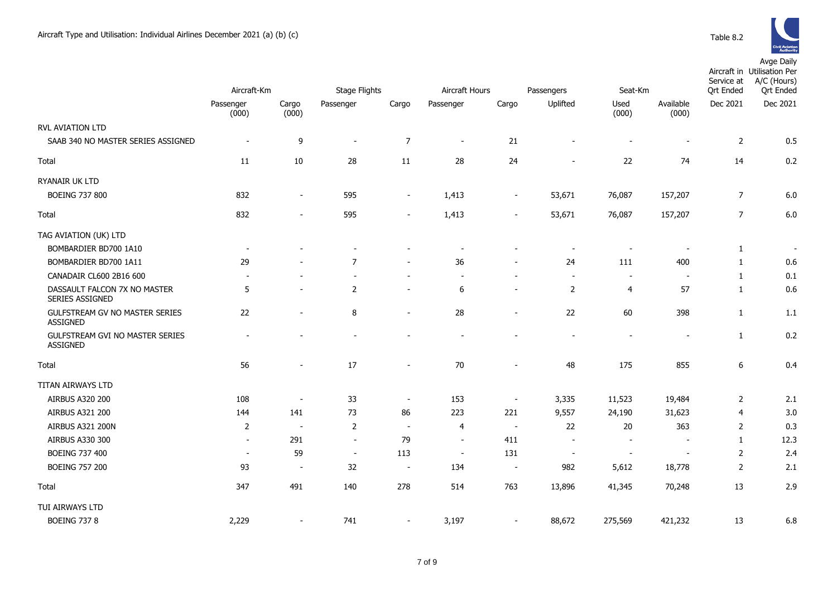

|                                                    | Aircraft-Km              |                          | <b>Stage Flights</b><br>Aircraft Hours |                          |                          |                          | Seat-Km                  | Service at<br><b>Qrt Ended</b> | Aircraft in Utilisation Per<br>A/C (Hours)<br><b>Qrt Ended</b> |                |          |
|----------------------------------------------------|--------------------------|--------------------------|----------------------------------------|--------------------------|--------------------------|--------------------------|--------------------------|--------------------------------|----------------------------------------------------------------|----------------|----------|
|                                                    | Passenger                |                          |                                        |                          |                          |                          | Passengers<br>Uplifted   | Used                           | Available                                                      | Dec 2021       | Dec 2021 |
|                                                    | (000)                    | Cargo<br>(000)           | Passenger                              | Cargo                    | Passenger                | Cargo                    |                          | (000)                          | (000)                                                          |                |          |
| RVL AVIATION LTD                                   |                          |                          |                                        |                          |                          |                          |                          |                                |                                                                |                |          |
| SAAB 340 NO MASTER SERIES ASSIGNED                 |                          | 9                        | $\sim$                                 | $\boldsymbol{7}$         | $\overline{\phantom{a}}$ | 21                       |                          |                                |                                                                | $\overline{2}$ | 0.5      |
| Total                                              | 11                       | 10                       | 28                                     | 11                       | 28                       | 24                       | $\overline{\phantom{0}}$ | 22                             | 74                                                             | 14             | 0.2      |
| RYANAIR UK LTD                                     |                          |                          |                                        |                          |                          |                          |                          |                                |                                                                |                |          |
| <b>BOEING 737 800</b>                              | 832                      | $\sim$                   | 595                                    | $\sim$                   | 1,413                    | $\sim$                   | 53,671                   | 76,087                         | 157,207                                                        | $\overline{7}$ | 6.0      |
| Total                                              | 832                      |                          | 595                                    |                          | 1,413                    |                          | 53,671                   | 76,087                         | 157,207                                                        | $\overline{7}$ | 6.0      |
| TAG AVIATION (UK) LTD                              |                          |                          |                                        |                          |                          |                          |                          |                                |                                                                |                |          |
| BOMBARDIER BD700 1A10                              | $\overline{\phantom{a}}$ |                          |                                        |                          | $\overline{\phantom{a}}$ |                          | $\overline{\phantom{a}}$ | $\overline{\phantom{a}}$       |                                                                | $\mathbf{1}$   | $\sim$   |
| BOMBARDIER BD700 1A11                              | 29                       |                          | $\overline{7}$                         |                          | 36                       |                          | 24                       | 111                            | 400                                                            | $\mathbf{1}$   | 0.6      |
| CANADAIR CL600 2B16 600                            |                          |                          | $\sim$                                 | $\sim$                   |                          |                          | $\overline{\phantom{a}}$ | $\blacksquare$                 | $\overline{\phantom{a}}$                                       | $\mathbf{1}$   | 0.1      |
| DASSAULT FALCON 7X NO MASTER<br>SERIES ASSIGNED    | 5                        |                          | $\overline{2}$                         |                          | 6                        |                          | 2                        | $\overline{4}$                 | 57                                                             | $\mathbf{1}$   | 0.6      |
| GULFSTREAM GV NO MASTER SERIES<br><b>ASSIGNED</b>  | 22                       | $\sim$                   | 8                                      | $\overline{\phantom{a}}$ | 28                       | $\sim$                   | 22                       | 60                             | 398                                                            | $\mathbf{1}$   | 1.1      |
| GULFSTREAM GVI NO MASTER SERIES<br><b>ASSIGNED</b> |                          |                          |                                        |                          |                          |                          | $\overline{\phantom{a}}$ | $\overline{\phantom{a}}$       | $\overline{\phantom{a}}$                                       | $\mathbf{1}$   | 0.2      |
| Total                                              | 56                       |                          | 17                                     | $\overline{\phantom{a}}$ | 70                       |                          | 48                       | 175                            | 855                                                            | 6              | 0.4      |
| TITAN AIRWAYS LTD                                  |                          |                          |                                        |                          |                          |                          |                          |                                |                                                                |                |          |
| AIRBUS A320 200                                    | 108                      | $\overline{\phantom{a}}$ | 33                                     | $\overline{\phantom{a}}$ | 153                      | $\overline{\phantom{a}}$ | 3,335                    | 11,523                         | 19,484                                                         | $\overline{2}$ | 2.1      |
| AIRBUS A321 200                                    | 144                      | 141                      | 73                                     | 86                       | 223                      | 221                      | 9,557                    | 24,190                         | 31,623                                                         | 4              | 3.0      |
| <b>AIRBUS A321 200N</b>                            | $\overline{2}$           | $\sim$                   | $\overline{2}$                         | $\sim$                   | 4                        | $\overline{\phantom{a}}$ | 22                       | $20\,$                         | 363                                                            | $\overline{2}$ | 0.3      |
| AIRBUS A330 300                                    | $\sim$                   | 291                      | $\sim$                                 | 79                       | $\overline{\phantom{a}}$ | 411                      | $\overline{\phantom{a}}$ | $\blacksquare$                 |                                                                | $\mathbf{1}$   | 12.3     |
| <b>BOEING 737 400</b>                              | $\overline{\phantom{a}}$ | 59                       | $\overline{\phantom{a}}$               | 113                      | $\overline{\phantom{a}}$ | 131                      | $\overline{\phantom{a}}$ | $\overline{\phantom{a}}$       | $\overline{\phantom{a}}$                                       | $\overline{2}$ | 2.4      |
| <b>BOEING 757 200</b>                              | 93                       | $\overline{\phantom{a}}$ | 32                                     | $\overline{\phantom{a}}$ | 134                      | $\sim$                   | 982                      | 5,612                          | 18,778                                                         | $\overline{2}$ | 2.1      |
| Total                                              | 347                      | 491                      | 140                                    | 278                      | 514                      | 763                      | 13,896                   | 41,345                         | 70,248                                                         | 13             | 2.9      |
| TUI AIRWAYS LTD                                    |                          |                          |                                        |                          |                          |                          |                          |                                |                                                                |                |          |
| <b>BOEING 737 8</b>                                | 2,229                    | $\overline{\phantom{a}}$ | 741                                    | $\overline{\phantom{a}}$ | 3,197                    |                          | 88,672                   | 275,569                        | 421,232                                                        | 13             | 6.8      |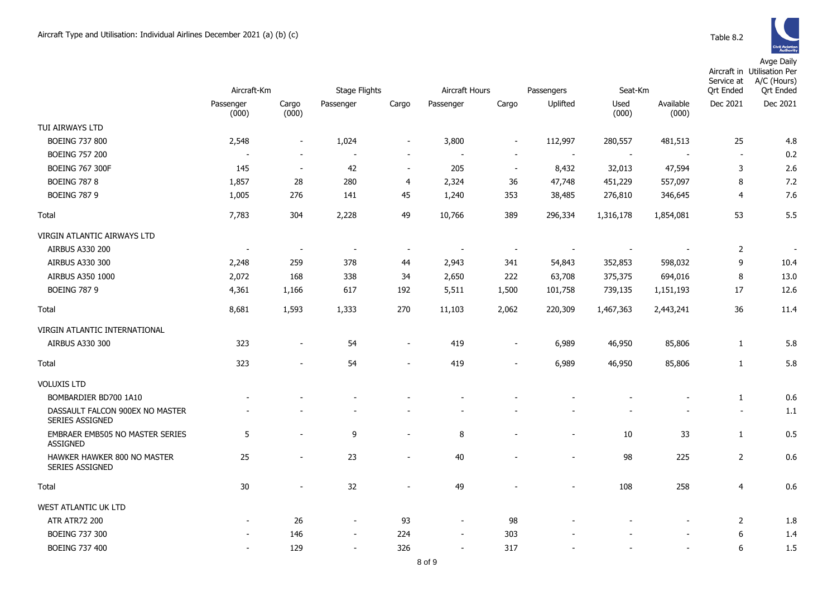|                                                           | Aircraft-Km              |                          | <b>Stage Flights</b>     |                          | Aircraft Hours<br>Passengers |                          |                          | Seat-Km       |                    | Service at<br><b>Qrt Ended</b> | Aircraft in Utilisation Per<br>A/C (Hours)<br><b>Qrt</b> Ended |
|-----------------------------------------------------------|--------------------------|--------------------------|--------------------------|--------------------------|------------------------------|--------------------------|--------------------------|---------------|--------------------|--------------------------------|----------------------------------------------------------------|
|                                                           | Passenger<br>(000)       | Cargo<br>(000)           | Passenger                | Cargo                    | Passenger                    | Cargo                    | Uplifted                 | Used<br>(000) | Available<br>(000) | Dec 2021                       | Dec 2021                                                       |
| TUI AIRWAYS LTD                                           |                          |                          |                          |                          |                              |                          |                          |               |                    |                                |                                                                |
| <b>BOEING 737 800</b>                                     | 2,548                    | $\overline{\phantom{a}}$ | 1,024                    | $\overline{\phantom{a}}$ | 3,800                        | $\overline{\phantom{a}}$ | 112,997                  | 280,557       | 481,513            | 25                             | 4.8                                                            |
| <b>BOEING 757 200</b>                                     |                          | $\overline{\phantom{a}}$ |                          | $\blacksquare$           |                              | $\overline{\phantom{a}}$ | $\overline{\phantom{a}}$ |               |                    | $\sim$                         | 0.2                                                            |
| <b>BOEING 767 300F</b>                                    | 145                      | $\blacksquare$           | 42                       | $\overline{\phantom{a}}$ | 205                          | $\blacksquare$           | 8,432                    | 32,013        | 47,594             | 3                              | 2.6                                                            |
| <b>BOEING 787 8</b>                                       | 1,857                    | 28                       | 280                      | 4                        | 2,324                        | 36                       | 47,748                   | 451,229       | 557,097            | 8                              | 7.2                                                            |
| <b>BOEING 787 9</b>                                       | 1,005                    | 276                      | 141                      | 45                       | 1,240                        | 353                      | 38,485                   | 276,810       | 346,645            | $\overline{4}$                 | 7.6                                                            |
| Total                                                     | 7,783                    | 304                      | 2,228                    | 49                       | 10,766                       | 389                      | 296,334                  | 1,316,178     | 1,854,081          | 53                             | 5.5                                                            |
| VIRGIN ATLANTIC AIRWAYS LTD                               |                          |                          |                          |                          |                              |                          |                          |               |                    |                                |                                                                |
| <b>AIRBUS A330 200</b>                                    | $\overline{\phantom{a}}$ | $\overline{\phantom{a}}$ | $\overline{\phantom{a}}$ | $\overline{\phantom{a}}$ |                              | $\overline{\phantom{a}}$ |                          |               |                    | $\overline{2}$                 | $\blacksquare$                                                 |
| AIRBUS A330 300                                           | 2,248                    | 259                      | 378                      | 44                       | 2,943                        | 341                      | 54,843                   | 352,853       | 598,032            | 9                              | 10.4                                                           |
| AIRBUS A350 1000                                          | 2,072                    | 168                      | 338                      | 34                       | 2,650                        | 222                      | 63,708                   | 375,375       | 694,016            | 8                              | 13.0                                                           |
| <b>BOEING 787 9</b>                                       | 4,361                    | 1,166                    | 617                      | 192                      | 5,511                        | 1,500                    | 101,758                  | 739,135       | 1,151,193          | 17                             | 12.6                                                           |
| Total                                                     | 8,681                    | 1,593                    | 1,333                    | 270                      | 11,103                       | 2,062                    | 220,309                  | 1,467,363     | 2,443,241          | 36                             | 11.4                                                           |
| VIRGIN ATLANTIC INTERNATIONAL                             |                          |                          |                          |                          |                              |                          |                          |               |                    |                                |                                                                |
| AIRBUS A330 300                                           | 323                      | $\blacksquare$           | 54                       | $\overline{\phantom{a}}$ | 419                          | $\overline{\phantom{a}}$ | 6,989                    | 46,950        | 85,806             | 1                              | 5.8                                                            |
| Total                                                     | 323                      |                          | 54                       | $\overline{\phantom{a}}$ | 419                          |                          | 6,989                    | 46,950        | 85,806             | $\mathbf{1}$                   | 5.8                                                            |
| <b>VOLUXIS LTD</b>                                        |                          |                          |                          |                          |                              |                          |                          |               |                    |                                |                                                                |
| BOMBARDIER BD700 1A10                                     |                          |                          |                          |                          |                              |                          |                          |               |                    | $\mathbf{1}$                   | 0.6                                                            |
| DASSAULT FALCON 900EX NO MASTER<br><b>SERIES ASSIGNED</b> |                          |                          |                          |                          |                              |                          |                          |               |                    | $\sim$                         | 1.1                                                            |
| EMBRAER EMB505 NO MASTER SERIES<br>ASSIGNED               | 5                        | $\blacksquare$           | 9                        | $\blacksquare$           | 8                            |                          | $\overline{\phantom{a}}$ | 10            | 33                 | $\mathbf{1}$                   | 0.5                                                            |
| HAWKER HAWKER 800 NO MASTER<br>SERIES ASSIGNED            | 25                       |                          | 23                       | $\overline{\phantom{a}}$ | 40                           |                          | $\overline{a}$           | 98            | 225                | $\overline{2}$                 | 0.6                                                            |
| Total                                                     | 30                       | $\blacksquare$           | 32                       | $\overline{\phantom{a}}$ | 49                           |                          | $\overline{\phantom{a}}$ | 108           | 258                | $\overline{4}$                 | 0.6                                                            |
| WEST ATLANTIC UK LTD                                      |                          |                          |                          |                          |                              |                          |                          |               |                    |                                |                                                                |
| <b>ATR ATR72 200</b>                                      |                          | 26                       | $\overline{\phantom{a}}$ | 93                       | $\blacksquare$               | 98                       |                          |               |                    | 2                              | 1.8                                                            |
| <b>BOEING 737 300</b>                                     |                          | 146                      | $\overline{\phantom{m}}$ | 224                      | $\overline{\phantom{a}}$     | 303                      |                          |               |                    | 6                              | 1.4                                                            |
| <b>BOEING 737 400</b>                                     | $\overline{\phantom{a}}$ | 129                      | $\blacksquare$           | 326                      | $\overline{\phantom{a}}$     | 317                      |                          |               |                    | 6                              | 1.5                                                            |